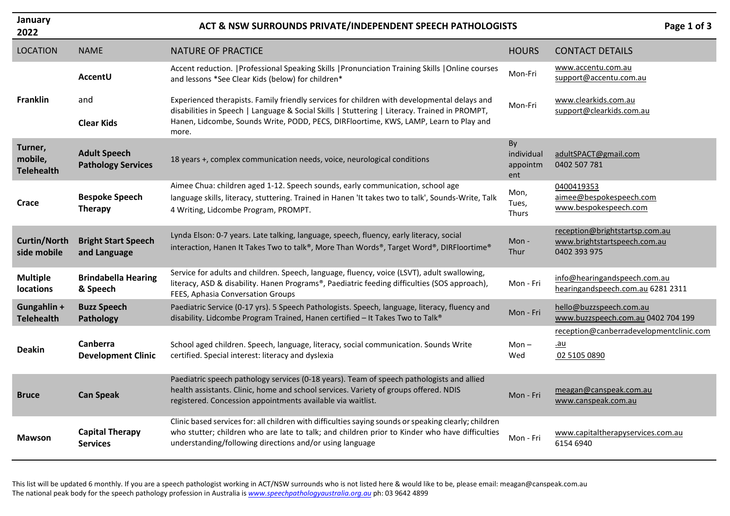| January<br>2022                         | Page 1 of 3<br>ACT & NSW SURROUNDS PRIVATE/INDEPENDENT SPEECH PATHOLOGISTS |                                                                                                                                                                                                                                                                     |                                     |                                                                                |  |
|-----------------------------------------|----------------------------------------------------------------------------|---------------------------------------------------------------------------------------------------------------------------------------------------------------------------------------------------------------------------------------------------------------------|-------------------------------------|--------------------------------------------------------------------------------|--|
| <b>LOCATION</b>                         | <b>NAME</b>                                                                | <b>NATURE OF PRACTICE</b>                                                                                                                                                                                                                                           | <b>HOURS</b>                        | <b>CONTACT DETAILS</b>                                                         |  |
|                                         | <b>AccentU</b>                                                             | Accent reduction.   Professional Speaking Skills   Pronunciation Training Skills   Online courses<br>and lessons *See Clear Kids (below) for children*                                                                                                              | Mon-Fri                             | www.accentu.com.au<br>support@accentu.com.au                                   |  |
| <b>Franklin</b>                         | and                                                                        | Experienced therapists. Family friendly services for children with developmental delays and<br>disabilities in Speech   Language & Social Skills   Stuttering   Literacy. Trained in PROMPT,                                                                        | Mon-Fri                             | www.clearkids.com.au<br>support@clearkids.com.au                               |  |
|                                         | <b>Clear Kids</b>                                                          | Hanen, Lidcombe, Sounds Write, PODD, PECS, DIRFloortime, KWS, LAMP, Learn to Play and<br>more.                                                                                                                                                                      |                                     |                                                                                |  |
| Turner,<br>mobile,<br><b>Telehealth</b> | <b>Adult Speech</b><br><b>Pathology Services</b>                           | 18 years +, complex communication needs, voice, neurological conditions                                                                                                                                                                                             | By<br>individual<br>appointm<br>ent | adultSPACT@gmail.com<br>0402 507 781                                           |  |
| Crace                                   | <b>Bespoke Speech</b><br><b>Therapy</b>                                    | Aimee Chua: children aged 1-12. Speech sounds, early communication, school age<br>language skills, literacy, stuttering. Trained in Hanen 'It takes two to talk', Sounds-Write, Talk<br>4 Writing, Lidcombe Program, PROMPT.                                        | Mon,<br>Tues,<br>Thurs              | 0400419353<br>aimee@bespokespeech.com<br>www.bespokespeech.com                 |  |
| <b>Curtin/North</b><br>side mobile      | <b>Bright Start Speech</b><br>and Language                                 | Lynda Elson: 0-7 years. Late talking, language, speech, fluency, early literacy, social<br>interaction, Hanen It Takes Two to talk®, More Than Words®, Target Word®, DIRFloortime®                                                                                  | Mon-<br>Thur                        | reception@brightstartsp.com.au<br>www.brightstartspeech.com.au<br>0402 393 975 |  |
| <b>Multiple</b><br>locations            | <b>Brindabella Hearing</b><br>& Speech                                     | Service for adults and children. Speech, language, fluency, voice (LSVT), adult swallowing,<br>literacy, ASD & disability. Hanen Programs®, Paediatric feeding difficulties (SOS approach),<br>FEES, Aphasia Conversation Groups                                    | Mon - Fri                           | info@hearingandspeech.com.au<br>hearingandspeech.com.au 6281 2311              |  |
| Gungahlin +<br><b>Telehealth</b>        | <b>Buzz Speech</b><br>Pathology                                            | Paediatric Service (0-17 yrs). 5 Speech Pathologists. Speech, language, literacy, fluency and<br>disability. Lidcombe Program Trained, Hanen certified - It Takes Two to Talk®                                                                                      | Mon - Fri                           | hello@buzzspeech.com.au<br>www.buzzspeech.com.au 0402 704 199                  |  |
| <b>Deakin</b>                           | Canberra<br><b>Development Clinic</b>                                      | School aged children. Speech, language, literacy, social communication. Sounds Write<br>certified. Special interest: literacy and dyslexia                                                                                                                          | Mon –<br>Wed                        | reception@canberradevelopmentclinic.com<br><u>.au</u><br>02 5105 0890          |  |
| <b>Bruce</b>                            | <b>Can Speak</b>                                                           | Paediatric speech pathology services (0-18 years). Team of speech pathologists and allied<br>health assistants. Clinic, home and school services. Variety of groups offered. NDIS<br>registered. Concession appointments available via waitlist.                    | Mon - Fri                           | meagan@canspeak.com.au<br>www.canspeak.com.au                                  |  |
| <b>Mawson</b>                           | <b>Capital Therapy</b><br><b>Services</b>                                  | Clinic based services for: all children with difficulties saying sounds or speaking clearly; children<br>who stutter; children who are late to talk; and children prior to Kinder who have difficulties<br>understanding/following directions and/or using language | Mon - Fri                           | www.capitaltherapyservices.com.au<br>6154 6940                                 |  |

This list will be updated 6 monthly. If you are a speech pathologist working in ACT/NSW surrounds who is not listed here & would like to be, please email: meagan@canspeak.com.au The national peak body for the speech pathology profession in Australia is *[www.speechpathologyaustralia.org.au](http://www.speechpathologyaustralia.org.au/)* ph: 03 9642 4899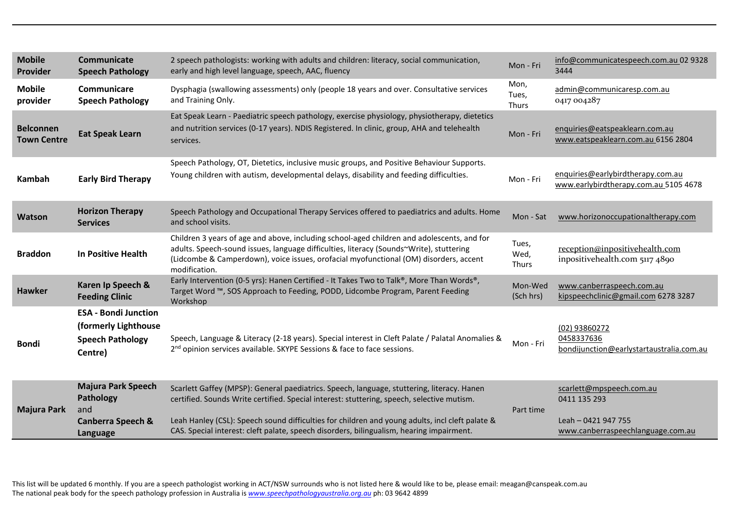| <b>Mobile</b><br>Provider              | Communicate<br><b>Speech Pathology</b>                                                    | 2 speech pathologists: working with adults and children: literacy, social communication,<br>early and high level language, speech, AAC, fluency                                                                                                                                                                                                                                         | Mon - Fri              | info@communicatespeech.com.au 02 9328<br>3444                                                        |
|----------------------------------------|-------------------------------------------------------------------------------------------|-----------------------------------------------------------------------------------------------------------------------------------------------------------------------------------------------------------------------------------------------------------------------------------------------------------------------------------------------------------------------------------------|------------------------|------------------------------------------------------------------------------------------------------|
| <b>Mobile</b><br>provider              | Communicare<br><b>Speech Pathology</b>                                                    | Dysphagia (swallowing assessments) only (people 18 years and over. Consultative services<br>and Training Only.                                                                                                                                                                                                                                                                          | Mon,<br>Tues,<br>Thurs | admin@communicaresp.com.au<br>0417 004287                                                            |
| <b>Belconnen</b><br><b>Town Centre</b> | <b>Eat Speak Learn</b>                                                                    | Eat Speak Learn - Paediatric speech pathology, exercise physiology, physiotherapy, dietetics<br>and nutrition services (0-17 years). NDIS Registered. In clinic, group, AHA and telehealth<br>services.                                                                                                                                                                                 | Mon - Fri              | enquiries@eatspeaklearn.com.au<br>www.eatspeaklearn.com.au 6156 2804                                 |
| Kambah                                 | <b>Early Bird Therapy</b>                                                                 | Speech Pathology, OT, Dietetics, inclusive music groups, and Positive Behaviour Supports.<br>Young children with autism, developmental delays, disability and feeding difficulties.                                                                                                                                                                                                     | Mon - Fri              | enquiries@earlybirdtherapy.com.au<br>www.earlybirdtherapy.com.au 5105 4678                           |
| Watson                                 | <b>Horizon Therapy</b><br><b>Services</b>                                                 | Speech Pathology and Occupational Therapy Services offered to paediatrics and adults. Home<br>and school visits.                                                                                                                                                                                                                                                                        | Mon - Sat              | www.horizonoccupationaltherapy.com                                                                   |
| <b>Braddon</b>                         | <b>In Positive Health</b>                                                                 | Children 3 years of age and above, including school-aged children and adolescents, and for<br>adults. Speech-sound issues, language difficulties, literacy (Sounds~Write), stuttering<br>(Lidcombe & Camperdown), voice issues, orofacial myofunctional (OM) disorders, accent<br>modification.                                                                                         | Tues,<br>Wed,<br>Thurs | reception@inpositivehealth.com<br>inpositivehealth.com 5117 4890                                     |
| <b>Hawker</b>                          | Karen Ip Speech &<br><b>Feeding Clinic</b>                                                | Early Intervention (0-5 yrs): Hanen Certified - It Takes Two to Talk®, More Than Words®,<br>Target Word ™, SOS Approach to Feeding, PODD, Lidcombe Program, Parent Feeding<br>Workshop                                                                                                                                                                                                  | Mon-Wed<br>(Sch hrs)   | www.canberraspeech.com.au<br>kipspeechclinic@gmail.com 6278 3287                                     |
| <b>Bondi</b>                           | <b>ESA - Bondi Junction</b><br>(formerly Lighthouse<br><b>Speech Pathology</b><br>Centre) | Speech, Language & Literacy (2-18 years). Special interest in Cleft Palate / Palatal Anomalies &<br>2 <sup>nd</sup> opinion services available. SKYPE Sessions & face to face sessions.                                                                                                                                                                                                 | Mon - Fri              | (02) 93860272<br>0458337636<br>bondijunction@earlystartaustralia.com.au                              |
| <b>Majura Park</b>                     | <b>Majura Park Speech</b><br>Pathology<br>and<br><b>Canberra Speech &amp;</b><br>Language | Scarlett Gaffey (MPSP): General paediatrics. Speech, language, stuttering, literacy. Hanen<br>certified. Sounds Write certified. Special interest: stuttering, speech, selective mutism.<br>Leah Hanley (CSL): Speech sound difficulties for children and young adults, incl cleft palate &<br>CAS. Special interest: cleft palate, speech disorders, bilingualism, hearing impairment. | Part time              | scarlett@mpspeech.com.au<br>0411 135 293<br>Leah - 0421 947 755<br>www.canberraspeechlanguage.com.au |

This list will be updated 6 monthly. If you are a speech pathologist working in ACT/NSW surrounds who is not listed here & would like to be, please email: meagan@canspeak.com.au The national peak body for the speech pathology profession in Australia is *[www.speechpathologyaustralia.org.au](http://www.speechpathologyaustralia.org.au/)* ph: 03 9642 4899